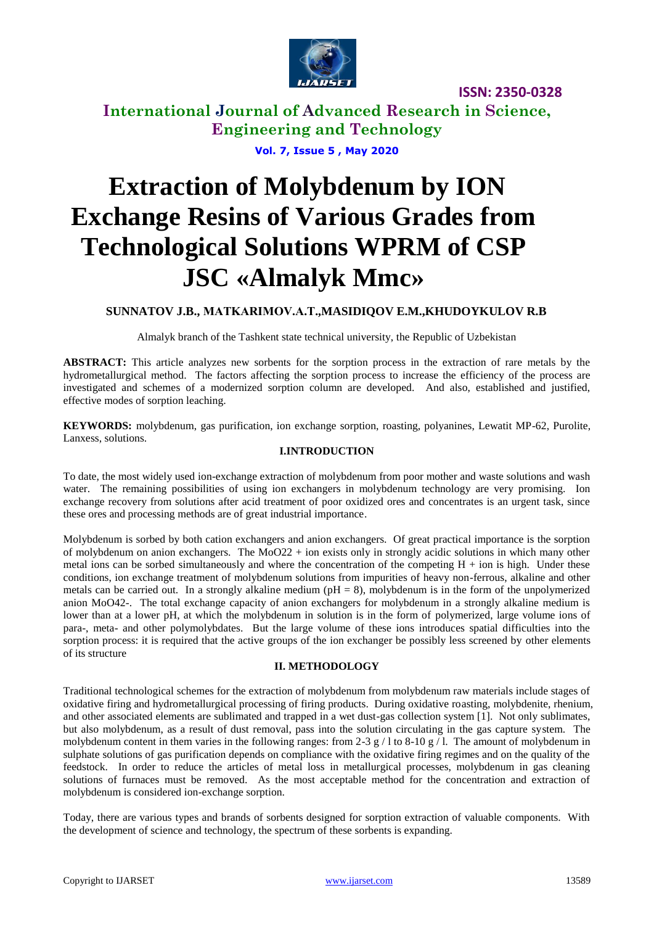

# **International Journal of Advanced Research in Science, Engineering and Technology**

**Vol. 7, Issue 5 , May 2020**

# **Extraction of Molybdenum by ION Exchange Resins of Various Grades from Technological Solutions WPRM of CSP JSC «Almalyk Mmc»**

## **SUNNATOV J.B., MATKARIMOV.A.Т.,MASIDIQOV E.M.,KHUDOYKULOV R.B**

Almalyk branch of the Tashkent state technical university, the Republic of Uzbekistan

**ABSTRACT:** This article analyzes new sorbents for the sorption process in the extraction of rare metals by the hydrometallurgical method. The factors affecting the sorption process to increase the efficiency of the process are investigated and schemes of a modernized sorption column are developed. And also, established and justified, effective modes of sorption leaching.

**KEYWORDS:** molybdenum, gas purification, ion exchange sorption, roasting, polyanines, Lewatit MP-62, Purolite, Lanxess, solutions.

## **I.INTRODUCTION**

To date, the most widely used ion-exchange extraction of molybdenum from poor mother and waste solutions and wash water. The remaining possibilities of using ion exchangers in molybdenum technology are very promising. Ion exchange recovery from solutions after acid treatment of poor oxidized ores and concentrates is an urgent task, since these ores and processing methods are of great industrial importance.

Molybdenum is sorbed by both cation exchangers and anion exchangers. Of great practical importance is the sorption of molybdenum on anion exchangers. The  $MoO22 + ion$  exists only in strongly acidic solutions in which many other metal ions can be sorbed simultaneously and where the concentration of the competing  $H +$  ion is high. Under these conditions, ion exchange treatment of molybdenum solutions from impurities of heavy non-ferrous, alkaline and other metals can be carried out. In a strongly alkaline medium ( $pH = 8$ ), molybdenum is in the form of the unpolymerized anion MoO42-. The total exchange capacity of anion exchangers for molybdenum in a strongly alkaline medium is lower than at a lower pH, at which the molybdenum in solution is in the form of polymerized, large volume ions of para-, meta- and other polymolybdates. But the large volume of these ions introduces spatial difficulties into the sorption process: it is required that the active groups of the ion exchanger be possibly less screened by other elements of its structure

#### **II. METHODOLOGY**

Traditional technological schemes for the extraction of molybdenum from molybdenum raw materials include stages of oxidative firing and hydrometallurgical processing of firing products. During oxidative roasting, molybdenite, rhenium, and other associated elements are sublimated and trapped in a wet dust-gas collection system [1]. Not only sublimates, but also molybdenum, as a result of dust removal, pass into the solution circulating in the gas capture system. The molybdenum content in them varies in the following ranges: from 2-3 g / l to 8-10 g / l. The amount of molybdenum in sulphate solutions of gas purification depends on compliance with the oxidative firing regimes and on the quality of the feedstock. In order to reduce the articles of metal loss in metallurgical processes, molybdenum in gas cleaning solutions of furnaces must be removed. As the most acceptable method for the concentration and extraction of molybdenum is considered ion-exchange sorption.

Today, there are various types and brands of sorbents designed for sorption extraction of valuable components. With the development of science and technology, the spectrum of these sorbents is expanding.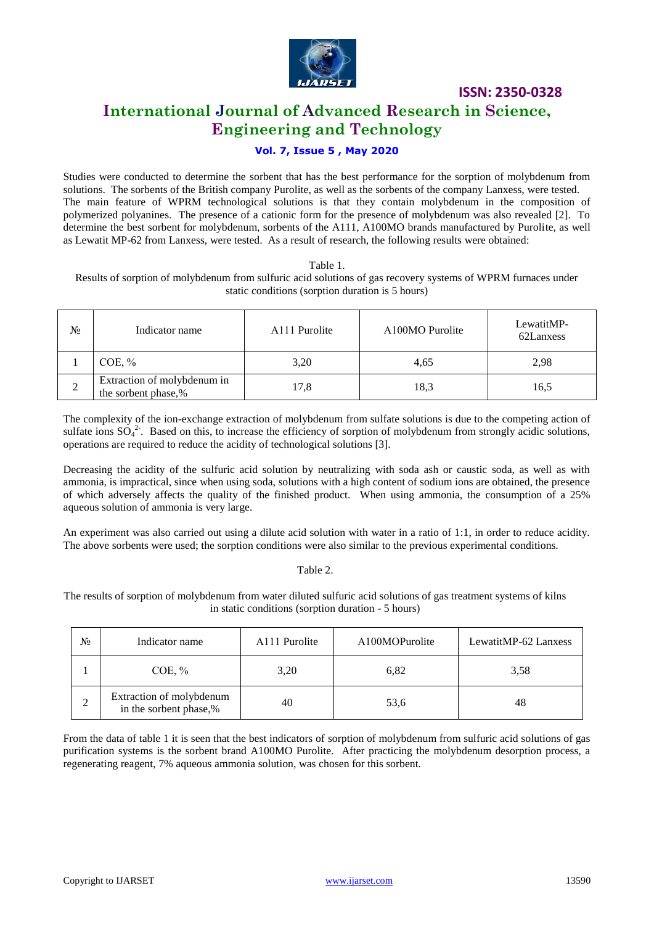

# **International Journal of Advanced Research in Science, Engineering and Technology**

# **Vol. 7, Issue 5 , May 2020**

Studies were conducted to determine the sorbent that has the best performance for the sorption of molybdenum from solutions. The sorbents of the British company Purolite, as well as the sorbents of the company Lanxess, were tested. The main feature of WPRM technological solutions is that they contain molybdenum in the composition of polymerized polyanines. The presence of a cationic form for the presence of molybdenum was also revealed [2]. To determine the best sorbent for molybdenum, sorbents of the A111, A100MO brands manufactured by Purolite, as well as Lewatit MP-62 from Lanxess, were tested. As a result of research, the following results were obtained:

#### Table 1.

Results of sorption of molybdenum from sulfuric acid solutions of gas recovery systems of WPRM furnaces under static conditions (sorption duration is 5 hours)

| No | Indicator name                                     | A111 Purolite | A100MO Purolite | LewatitMP-<br>62Lanxess |
|----|----------------------------------------------------|---------------|-----------------|-------------------------|
|    | $COE, \%$                                          | 3,20          | 4,65            | 2,98                    |
| 2  | Extraction of molybdenum in<br>the sorbent phase,% | 17,8          | 18.3            | 16,5                    |

The complexity of the ion-exchange extraction of molybdenum from sulfate solutions is due to the competing action of sulfate ions  $SO_4^2$ . Based on this, to increase the efficiency of sorption of molybdenum from strongly acidic solutions, operations are required to reduce the acidity of technological solutions [3].

Decreasing the acidity of the sulfuric acid solution by neutralizing with soda ash or caustic soda, as well as with ammonia, is impractical, since when using soda, solutions with a high content of sodium ions are obtained, the presence of which adversely affects the quality of the finished product. When using ammonia, the consumption of a 25% aqueous solution of ammonia is very large.

An experiment was also carried out using a dilute acid solution with water in a ratio of 1:1, in order to reduce acidity. The above sorbents were used; the sorption conditions were also similar to the previous experimental conditions.

#### Table 2.

The results of sorption of molybdenum from water diluted sulfuric acid solutions of gas treatment systems of kilns in static conditions (sorption duration - 5 hours)

| N∘ | Indicator name                                     | A111 Purolite | A100MOPurolite | LewatitMP-62 Lanxess |
|----|----------------------------------------------------|---------------|----------------|----------------------|
|    | $COE, \%$                                          | 3,20          | 6,82           | 3.58                 |
|    | Extraction of molybdenum<br>in the sorbent phase,% | 40            | 53,6           | 48                   |

From the data of table 1 it is seen that the best indicators of sorption of molybdenum from sulfuric acid solutions of gas purification systems is the sorbent brand A100MO Purolite. After practicing the molybdenum desorption process, a regenerating reagent, 7% aqueous ammonia solution, was chosen for this sorbent.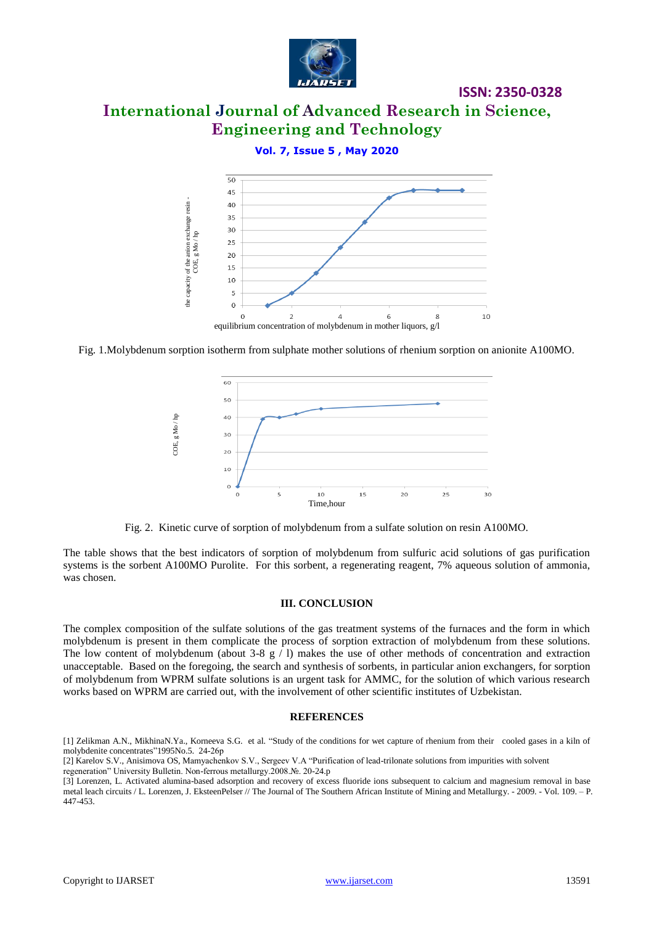

# **International Journal of Advanced Research in Science, Engineering and Technology**

### **Vol. 7, Issue 5 , May 2020**



Fig. 1.Molybdenum sorption isotherm from sulphate mother solutions of rhenium sorption on anionite A100MO.



Fig. 2. Kinetic curve of sorption of molybdenum from a sulfate solution on resin A100MO.

The table shows that the best indicators of sorption of molybdenum from sulfuric acid solutions of gas purification systems is the sorbent A100MO Purolite. For this sorbent, a regenerating reagent, 7% aqueous solution of ammonia, was chosen.

#### **III. CONCLUSION**

The complex composition of the sulfate solutions of the gas treatment systems of the furnaces and the form in which molybdenum is present in them complicate the process of sorption extraction of molybdenum from these solutions. The low content of molybdenum (about 3-8  $g / 1$ ) makes the use of other methods of concentration and extraction unacceptable. Based on the foregoing, the search and synthesis of sorbents, in particular anion exchangers, for sorption of molybdenum from WPRM sulfate solutions is an urgent task for AMMC, for the solution of which various research works based on WPRM are carried out, with the involvement of other scientific institutes of Uzbekistan.

#### **REFERENCES**

[1] Zelikman A.N., MikhinaN.Ya., Korneeva S.G. et al. "Study of the conditions for wet capture of rhenium from their cooled gases in a kiln of molybdenite concentrates"1995No.5. 24-26р

regeneration" University Bulletin. Non-ferrous metallurgy.2008.№. 20-24.p

<sup>[2]</sup> Karelov S.V., Anisimova OS, Mamyachenkov S.V., Sergeev V.A "Purification of lead-trilonate solutions from impurities with solvent

<sup>[3]</sup> Lorenzen, L. Activated alumina-based adsorption and recovery of excess fluoride ions subsequent to calcium and magnesium removal in base metal leach circuits / L. Lorenzen, J. EksteenPelser // The Journal of The Southern African Institute of Mining and Metallurgy. - 2009. - Vol. 109. – P. 447-453.